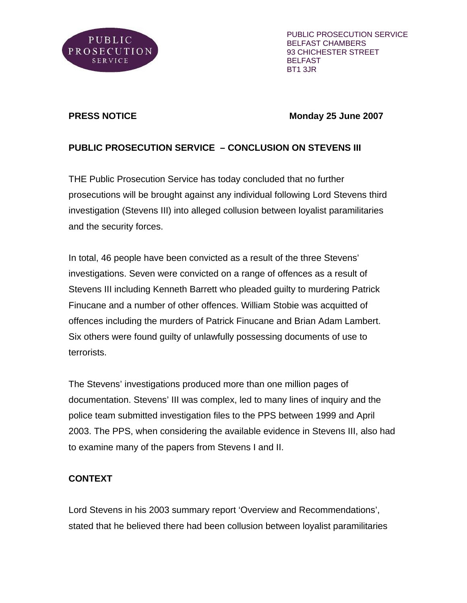

PUBLIC PROSECUTION SERVICE BELFAST CHAMBERS 93 CHICHESTER STREET BELFAST BT1 3JR

#### **PRESS NOTICE Monday 25 June 2007**

# **PUBLIC PROSECUTION SERVICE – CONCLUSION ON STEVENS III**

THE Public Prosecution Service has today concluded that no further prosecutions will be brought against any individual following Lord Stevens third investigation (Stevens III) into alleged collusion between loyalist paramilitaries and the security forces.

In total, 46 people have been convicted as a result of the three Stevens' investigations. Seven were convicted on a range of offences as a result of Stevens III including Kenneth Barrett who pleaded guilty to murdering Patrick Finucane and a number of other offences. William Stobie was acquitted of offences including the murders of Patrick Finucane and Brian Adam Lambert. Six others were found guilty of unlawfully possessing documents of use to terrorists.

The Stevens' investigations produced more than one million pages of documentation. Stevens' III was complex, led to many lines of inquiry and the police team submitted investigation files to the PPS between 1999 and April 2003. The PPS, when considering the available evidence in Stevens III, also had to examine many of the papers from Stevens I and II.

# **CONTEXT**

Lord Stevens in his 2003 summary report 'Overview and Recommendations', stated that he believed there had been collusion between loyalist paramilitaries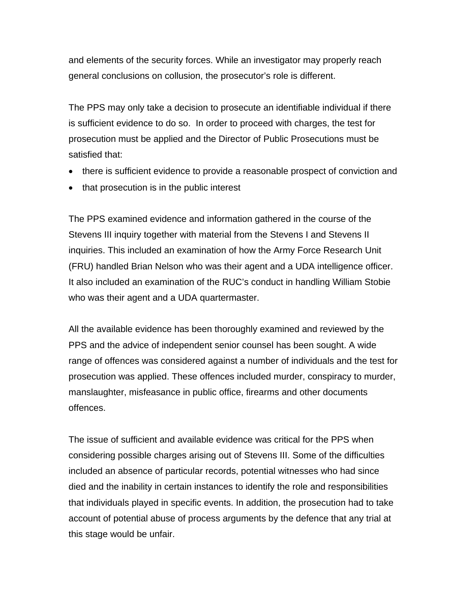and elements of the security forces. While an investigator may properly reach general conclusions on collusion, the prosecutor's role is different.

The PPS may only take a decision to prosecute an identifiable individual if there is sufficient evidence to do so. In order to proceed with charges, the test for prosecution must be applied and the Director of Public Prosecutions must be satisfied that:

- there is sufficient evidence to provide a reasonable prospect of conviction and
- that prosecution is in the public interest

The PPS examined evidence and information gathered in the course of the Stevens III inquiry together with material from the Stevens I and Stevens II inquiries. This included an examination of how the Army Force Research Unit (FRU) handled Brian Nelson who was their agent and a UDA intelligence officer. It also included an examination of the RUC's conduct in handling William Stobie who was their agent and a UDA quartermaster.

All the available evidence has been thoroughly examined and reviewed by the PPS and the advice of independent senior counsel has been sought. A wide range of offences was considered against a number of individuals and the test for prosecution was applied. These offences included murder, conspiracy to murder, manslaughter, misfeasance in public office, firearms and other documents offences.

The issue of sufficient and available evidence was critical for the PPS when considering possible charges arising out of Stevens III. Some of the difficulties included an absence of particular records, potential witnesses who had since died and the inability in certain instances to identify the role and responsibilities that individuals played in specific events. In addition, the prosecution had to take account of potential abuse of process arguments by the defence that any trial at this stage would be unfair.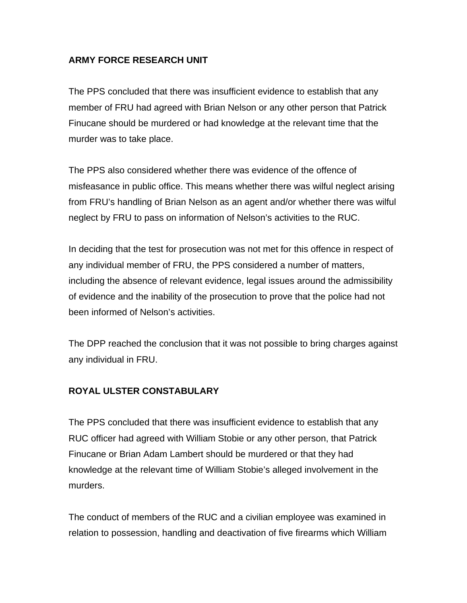#### **ARMY FORCE RESEARCH UNIT**

The PPS concluded that there was insufficient evidence to establish that any member of FRU had agreed with Brian Nelson or any other person that Patrick Finucane should be murdered or had knowledge at the relevant time that the murder was to take place.

The PPS also considered whether there was evidence of the offence of misfeasance in public office. This means whether there was wilful neglect arising from FRU's handling of Brian Nelson as an agent and/or whether there was wilful neglect by FRU to pass on information of Nelson's activities to the RUC.

In deciding that the test for prosecution was not met for this offence in respect of any individual member of FRU, the PPS considered a number of matters, including the absence of relevant evidence, legal issues around the admissibility of evidence and the inability of the prosecution to prove that the police had not been informed of Nelson's activities.

The DPP reached the conclusion that it was not possible to bring charges against any individual in FRU.

# **ROYAL ULSTER CONSTABULARY**

The PPS concluded that there was insufficient evidence to establish that any RUC officer had agreed with William Stobie or any other person, that Patrick Finucane or Brian Adam Lambert should be murdered or that they had knowledge at the relevant time of William Stobie's alleged involvement in the murders.

The conduct of members of the RUC and a civilian employee was examined in relation to possession, handling and deactivation of five firearms which William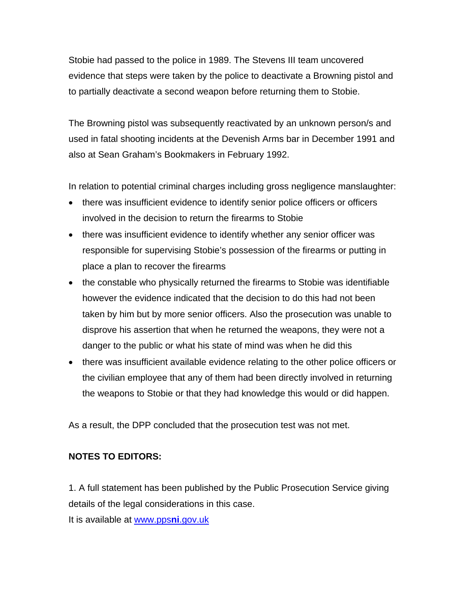Stobie had passed to the police in 1989. The Stevens III team uncovered evidence that steps were taken by the police to deactivate a Browning pistol and to partially deactivate a second weapon before returning them to Stobie.

The Browning pistol was subsequently reactivated by an unknown person/s and used in fatal shooting incidents at the Devenish Arms bar in December 1991 and also at Sean Graham's Bookmakers in February 1992.

In relation to potential criminal charges including gross negligence manslaughter:

- there was insufficient evidence to identify senior police officers or officers involved in the decision to return the firearms to Stobie
- there was insufficient evidence to identify whether any senior officer was responsible for supervising Stobie's possession of the firearms or putting in place a plan to recover the firearms
- the constable who physically returned the firearms to Stobie was identifiable however the evidence indicated that the decision to do this had not been taken by him but by more senior officers. Also the prosecution was unable to disprove his assertion that when he returned the weapons, they were not a danger to the public or what his state of mind was when he did this
- there was insufficient available evidence relating to the other police officers or the civilian employee that any of them had been directly involved in returning the weapons to Stobie or that they had knowledge this would or did happen.

As a result, the DPP concluded that the prosecution test was not met.

# **NOTES TO EDITORS:**

1. A full statement has been published by the Public Prosecution Service giving details of the legal considerations in this case.

It is available at [www.pps](http://www.ppsni.gov.uk/)**ni**.gov.uk